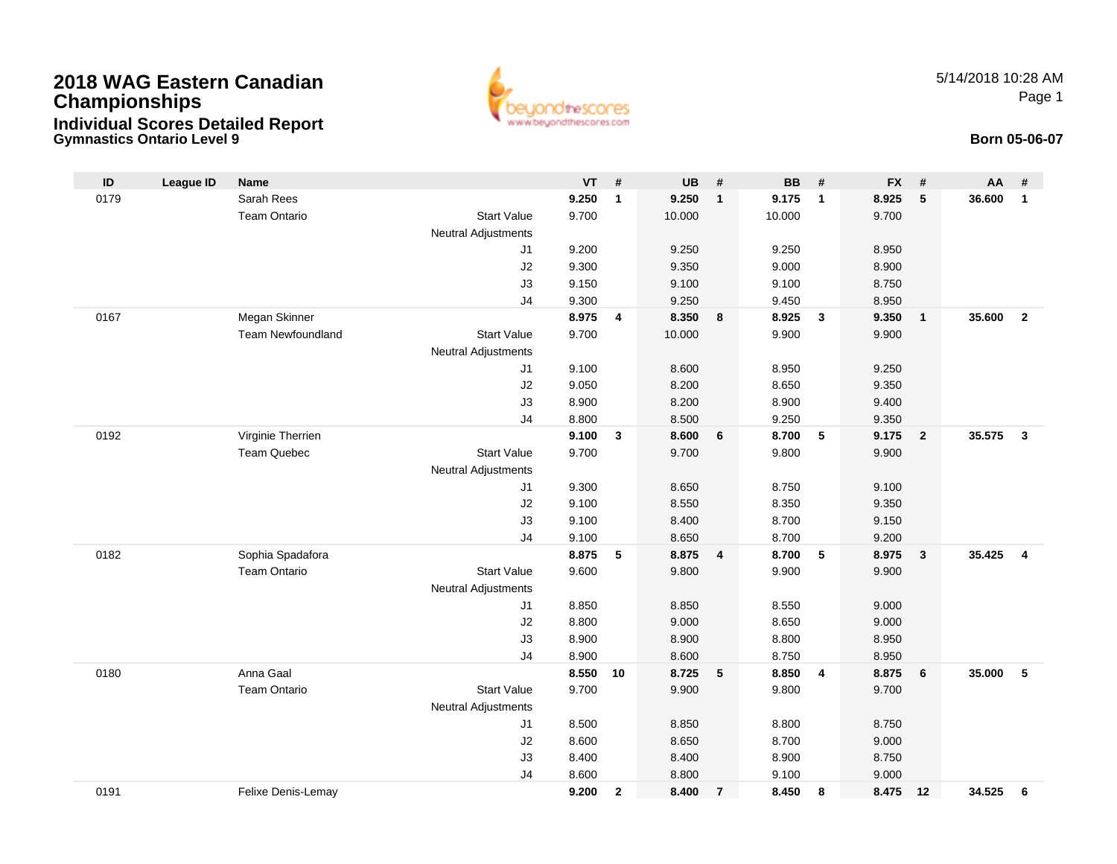# **2018 WAG Eastern CanadianChampionships Individual Scores Detailed Report**





| ID   | <b>League ID</b> | Name                     |                            | $VT$ # |              | <b>UB</b> | $\#$           | <b>BB</b> | #                       | <b>FX</b> | #              | AA     | #                       |
|------|------------------|--------------------------|----------------------------|--------|--------------|-----------|----------------|-----------|-------------------------|-----------|----------------|--------|-------------------------|
| 0179 |                  | Sarah Rees               |                            | 9.250  | $\mathbf{1}$ | 9.250     | $\mathbf{1}$   | 9.175     | $\overline{1}$          | 8.925     | $\sqrt{5}$     | 36.600 | $\mathbf{1}$            |
|      |                  | <b>Team Ontario</b>      | <b>Start Value</b>         | 9.700  |              | 10.000    |                | 10.000    |                         | 9.700     |                |        |                         |
|      |                  |                          | <b>Neutral Adjustments</b> |        |              |           |                |           |                         |           |                |        |                         |
|      |                  |                          | J1                         | 9.200  |              | 9.250     |                | 9.250     |                         | 8.950     |                |        |                         |
|      |                  |                          | J2                         | 9.300  |              | 9.350     |                | 9.000     |                         | 8.900     |                |        |                         |
|      |                  |                          | J3                         | 9.150  |              | 9.100     |                | 9.100     |                         | 8.750     |                |        |                         |
|      |                  |                          | J4                         | 9.300  |              | 9.250     |                | 9.450     |                         | 8.950     |                |        |                         |
| 0167 |                  | Megan Skinner            |                            | 8.975  | 4            | 8.350     | 8              | 8.925     | $\mathbf{3}$            | 9.350     | $\overline{1}$ | 35.600 | $\overline{2}$          |
|      |                  | <b>Team Newfoundland</b> | <b>Start Value</b>         | 9.700  |              | 10.000    |                | 9.900     |                         | 9.900     |                |        |                         |
|      |                  |                          | <b>Neutral Adjustments</b> |        |              |           |                |           |                         |           |                |        |                         |
|      |                  |                          | J1                         | 9.100  |              | 8.600     |                | 8.950     |                         | 9.250     |                |        |                         |
|      |                  |                          | J2                         | 9.050  |              | 8.200     |                | 8.650     |                         | 9.350     |                |        |                         |
|      |                  |                          | J3                         | 8.900  |              | 8.200     |                | 8.900     |                         | 9.400     |                |        |                         |
|      |                  |                          | J <sub>4</sub>             | 8.800  |              | 8.500     |                | 9.250     |                         | 9.350     |                |        |                         |
| 0192 |                  | Virginie Therrien        |                            | 9.100  | $\mathbf{3}$ | 8.600     | 6              | 8.700     | $\sqrt{5}$              | 9.175     | $\overline{2}$ | 35.575 | $\mathbf{3}$            |
|      |                  | <b>Team Quebec</b>       | <b>Start Value</b>         | 9.700  |              | 9.700     |                | 9.800     |                         | 9.900     |                |        |                         |
|      |                  |                          | <b>Neutral Adjustments</b> |        |              |           |                |           |                         |           |                |        |                         |
|      |                  |                          | J1                         | 9.300  |              | 8.650     |                | 8.750     |                         | 9.100     |                |        |                         |
|      |                  |                          | J2                         | 9.100  |              | 8.550     |                | 8.350     |                         | 9.350     |                |        |                         |
|      |                  |                          | J3                         | 9.100  |              | 8.400     |                | 8.700     |                         | 9.150     |                |        |                         |
|      |                  |                          | J <sub>4</sub>             | 9.100  |              | 8.650     |                | 8.700     |                         | 9.200     |                |        |                         |
| 0182 |                  | Sophia Spadafora         |                            | 8.875  | 5            | 8.875     | 4              | 8.700     | 5                       | 8.975     | $\mathbf{3}$   | 35.425 | $\overline{\mathbf{4}}$ |
|      |                  | <b>Team Ontario</b>      | <b>Start Value</b>         | 9.600  |              | 9.800     |                | 9.900     |                         | 9.900     |                |        |                         |
|      |                  |                          | <b>Neutral Adjustments</b> |        |              |           |                |           |                         |           |                |        |                         |
|      |                  |                          | J1                         | 8.850  |              | 8.850     |                | 8.550     |                         | 9.000     |                |        |                         |
|      |                  |                          | J2                         | 8.800  |              | 9.000     |                | 8.650     |                         | 9.000     |                |        |                         |
|      |                  |                          | J3                         | 8.900  |              | 8.900     |                | 8.800     |                         | 8.950     |                |        |                         |
|      |                  |                          | J <sub>4</sub>             | 8.900  |              | 8.600     |                | 8.750     |                         | 8.950     |                |        |                         |
| 0180 |                  | Anna Gaal                |                            | 8.550  | 10           | 8.725     | 5              | 8.850     | $\overline{\mathbf{4}}$ | 8.875     | 6              | 35.000 | 5                       |
|      |                  | <b>Team Ontario</b>      | <b>Start Value</b>         | 9.700  |              | 9.900     |                | 9.800     |                         | 9.700     |                |        |                         |
|      |                  |                          | <b>Neutral Adjustments</b> |        |              |           |                |           |                         |           |                |        |                         |
|      |                  |                          | J1                         | 8.500  |              | 8.850     |                | 8.800     |                         | 8.750     |                |        |                         |
|      |                  |                          | J2                         | 8.600  |              | 8.650     |                | 8.700     |                         | 9.000     |                |        |                         |
|      |                  |                          | J3                         | 8.400  |              | 8.400     |                | 8.900     |                         | 8.750     |                |        |                         |
|      |                  |                          | J <sub>4</sub>             | 8.600  |              | 8.800     |                | 9.100     |                         | 9.000     |                |        |                         |
| 0191 |                  | Felixe Denis-Lemay       |                            | 9.200  | $\mathbf{2}$ | 8.400     | $\overline{7}$ | 8.450     | 8                       | 8.475     | 12             | 34.525 | 6                       |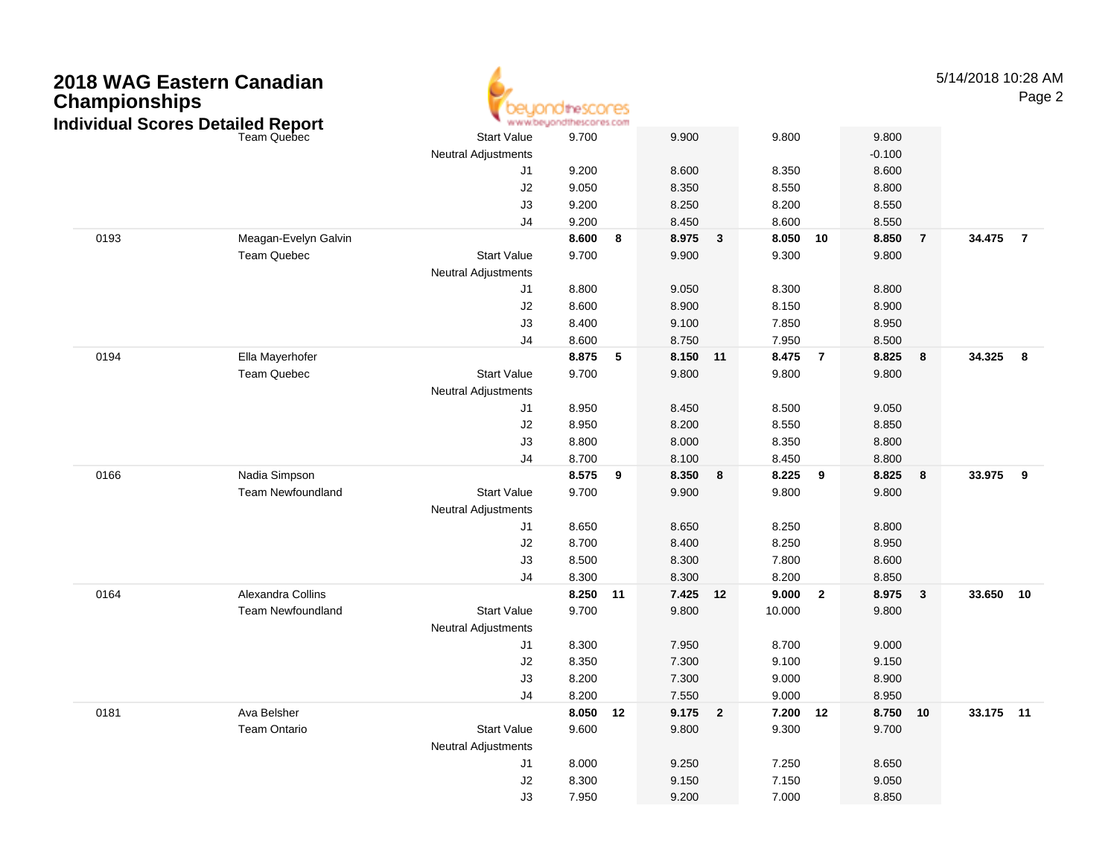| 2018 WAG Eastern Canadian<br><b>Championships</b><br><b>Individual Scores Detailed Report</b> |      |                          | dihescores<br>hescores.com<br>www.beyond |          |    |           |              |          |                |          |                | 5/14/2018 10:28 AM | Page 2         |
|-----------------------------------------------------------------------------------------------|------|--------------------------|------------------------------------------|----------|----|-----------|--------------|----------|----------------|----------|----------------|--------------------|----------------|
|                                                                                               |      |                          | <b>Start Value</b>                       | 9.700    |    | 9.900     |              | 9.800    |                | 9.800    |                |                    |                |
|                                                                                               |      |                          | <b>Neutral Adjustments</b>               |          |    |           |              |          |                | $-0.100$ |                |                    |                |
|                                                                                               |      |                          | J1                                       | 9.200    |    | 8.600     |              | 8.350    |                | 8.600    |                |                    |                |
|                                                                                               |      |                          | J2                                       | 9.050    |    | 8.350     |              | 8.550    |                | 8.800    |                |                    |                |
|                                                                                               |      |                          | J3                                       | 9.200    |    | 8.250     |              | 8.200    |                | 8.550    |                |                    |                |
|                                                                                               |      |                          | J <sub>4</sub>                           | 9.200    |    | 8.450     |              | 8.600    |                | 8.550    |                |                    |                |
|                                                                                               | 0193 | Meagan-Evelyn Galvin     |                                          | 8.600    | 8  | 8.975     | $\mathbf{3}$ | 8.050    | 10             | 8.850    | $\overline{7}$ | 34.475             | $\overline{7}$ |
|                                                                                               |      | <b>Team Quebec</b>       | <b>Start Value</b>                       | 9.700    |    | 9.900     |              | 9.300    |                | 9.800    |                |                    |                |
|                                                                                               |      |                          | <b>Neutral Adjustments</b>               |          |    |           |              |          |                |          |                |                    |                |
|                                                                                               |      |                          | J <sub>1</sub>                           | 8.800    |    | 9.050     |              | 8.300    |                | 8.800    |                |                    |                |
|                                                                                               |      |                          | J2                                       | 8.600    |    | 8.900     |              | 8.150    |                | 8.900    |                |                    |                |
|                                                                                               |      |                          | J3                                       | 8.400    |    | 9.100     |              | 7.850    |                | 8.950    |                |                    |                |
|                                                                                               |      |                          | J <sub>4</sub>                           | 8.600    |    | 8.750     |              | 7.950    |                | 8.500    |                |                    |                |
|                                                                                               | 0194 | Ella Mayerhofer          |                                          | 8.875    | 5  | 8.150     | 11           | 8.475    | $\overline{7}$ | 8.825    | 8              | 34.325             | 8              |
|                                                                                               |      | <b>Team Quebec</b>       | <b>Start Value</b>                       | 9.700    |    | 9.800     |              | 9.800    |                | 9.800    |                |                    |                |
|                                                                                               |      |                          | <b>Neutral Adjustments</b>               |          |    |           |              |          |                |          |                |                    |                |
|                                                                                               |      |                          | J <sub>1</sub>                           | 8.950    |    | 8.450     |              | 8.500    |                | 9.050    |                |                    |                |
|                                                                                               |      |                          | J2                                       | 8.950    |    | 8.200     |              | 8.550    |                | 8.850    |                |                    |                |
|                                                                                               |      |                          | J3                                       | 8.800    |    | 8.000     |              | 8.350    |                | 8.800    |                |                    |                |
|                                                                                               |      |                          | J <sub>4</sub>                           | 8.700    |    | 8.100     |              | 8.450    |                | 8.800    |                |                    |                |
|                                                                                               | 0166 | Nadia Simpson            |                                          | 8.575    | 9  | 8.350     | 8            | 8.225    | 9              | 8.825    | 8              | 33.975             | 9              |
|                                                                                               |      | <b>Team Newfoundland</b> | <b>Start Value</b>                       | 9.700    |    | 9.900     |              | 9.800    |                | 9.800    |                |                    |                |
|                                                                                               |      |                          | <b>Neutral Adjustments</b>               |          |    |           |              |          |                |          |                |                    |                |
|                                                                                               |      |                          | J1                                       | 8.650    |    | 8.650     |              | 8.250    |                | 8.800    |                |                    |                |
|                                                                                               |      |                          | J2                                       | 8.700    |    | 8.400     |              | 8.250    |                | 8.950    |                |                    |                |
|                                                                                               |      |                          | J3                                       | 8.500    |    | 8.300     |              | 7.800    |                | 8.600    |                |                    |                |
|                                                                                               |      |                          | J <sub>4</sub>                           | 8.300    |    | 8.300     |              | 8.200    |                | 8.850    |                |                    |                |
|                                                                                               | 0164 | Alexandra Collins        |                                          | 8.250    | 11 | 7.425     | 12           | 9.000    | $\overline{2}$ | 8.975    | 3              | 33.650 10          |                |
|                                                                                               |      | <b>Team Newfoundland</b> | <b>Start Value</b>                       | 9.700    |    | 9.800     |              | 10.000   |                | 9.800    |                |                    |                |
|                                                                                               |      |                          | <b>Neutral Adjustments</b>               |          |    |           |              |          |                |          |                |                    |                |
|                                                                                               |      |                          | J <sub>1</sub>                           | 8.300    |    | 7.950     |              | 8.700    |                | 9.000    |                |                    |                |
|                                                                                               |      |                          | J2                                       | 8.350    |    | 7.300     |              | 9.100    |                | 9.150    |                |                    |                |
|                                                                                               |      |                          | J3                                       | 8.200    |    | 7.300     |              | 9.000    |                | 8.900    |                |                    |                |
|                                                                                               |      |                          | J4                                       | 8.200    |    | 7.550     |              | 9.000    |                | 8.950    |                |                    |                |
|                                                                                               | 0181 | Ava Belsher              |                                          | 8.050 12 |    | $9.175$ 2 |              | 7.200 12 |                | 8.750 10 |                | 33.175 11          |                |
|                                                                                               |      | Team Ontario             | <b>Start Value</b>                       | 9.600    |    | 9.800     |              | 9.300    |                | 9.700    |                |                    |                |
|                                                                                               |      |                          | <b>Neutral Adjustments</b>               |          |    |           |              |          |                |          |                |                    |                |
|                                                                                               |      |                          | J1                                       | 8.000    |    | 9.250     |              | 7.250    |                | 8.650    |                |                    |                |
|                                                                                               |      |                          | J2                                       | 8.300    |    | 9.150     |              | 7.150    |                | 9.050    |                |                    |                |
|                                                                                               |      |                          | J3                                       | 7.950    |    | 9.200     |              | 7.000    |                | 8.850    |                |                    |                |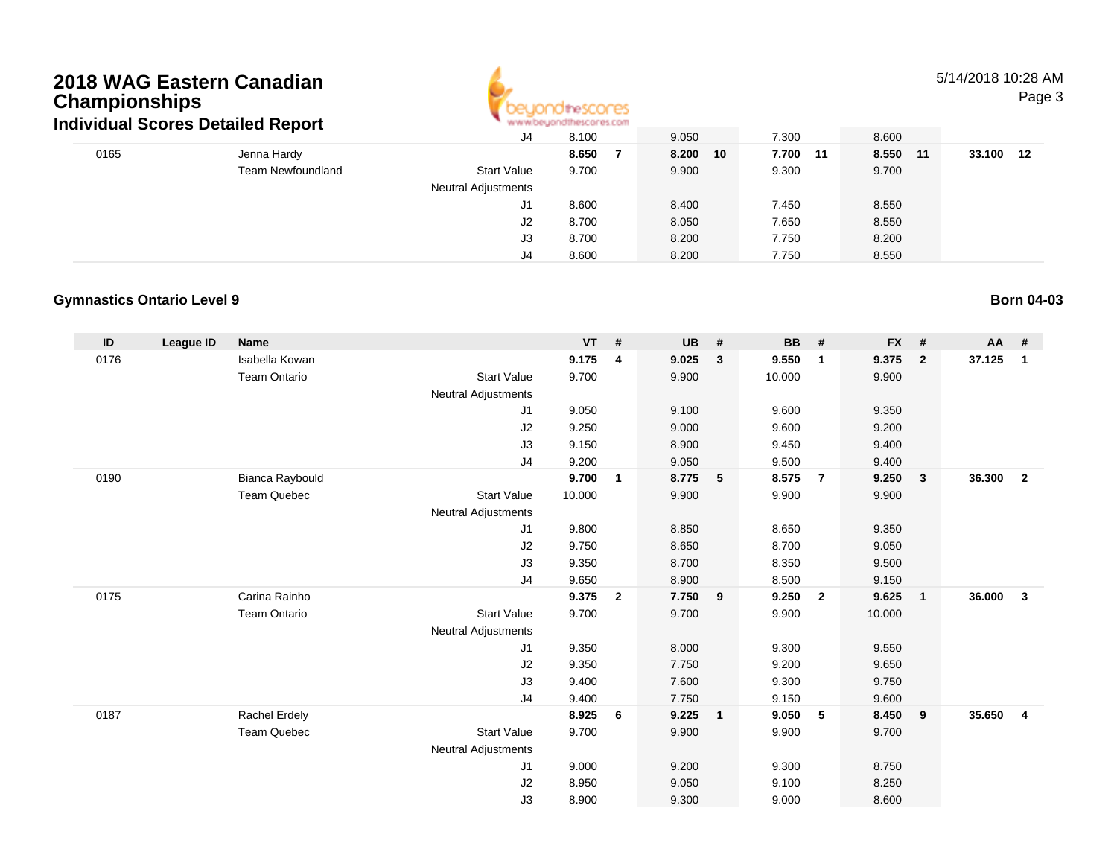### **2018 WAG Eastern CanadianChampionships Individual Scores Detailed Report**



### 5/14/2018 10:28 AM

Page 3

|     |        |          |          |               | <b>M.M.MCASTAN IN ILIMENT AS FOUL</b> |                            | ingividual Scores Detailed Report |      |  |
|-----|--------|----------|----------|---------------|---------------------------------------|----------------------------|-----------------------------------|------|--|
|     |        | 8.600    | 7.300    | 9.050         | 8.100                                 | J4                         |                                   |      |  |
| -12 | 33.100 | 8.550 11 | 7.700 11 | 8.200<br>- 10 | 8.650                                 |                            | Jenna Hardy                       | 0165 |  |
|     |        | 9.700    | 9.300    | 9.900         | 9.700                                 | <b>Start Value</b>         | <b>Team Newfoundland</b>          |      |  |
|     |        |          |          |               |                                       | <b>Neutral Adjustments</b> |                                   |      |  |
|     |        | 8.550    | 7.450    | 8.400         | 8.600                                 | J1                         |                                   |      |  |
|     |        | 8.550    | 7.650    | 8.050         | 8.700                                 | J2                         |                                   |      |  |
|     |        | 8.200    | 7.750    | 8.200         | 8.700                                 | JЗ                         |                                   |      |  |
|     |        | 8.550    | 7.750    | 8.200         | 8.600                                 | J4                         |                                   |      |  |
|     |        |          |          |               |                                       |                            |                                   |      |  |

#### **Gymnastics Ontario Level 9**

| $\mathsf{ID}$ | League ID | <b>Name</b>         |                            | $VT$ # |                | <b>UB</b> | #              | BB     | #                       | <b>FX</b> | #              | $AA$ # |                |
|---------------|-----------|---------------------|----------------------------|--------|----------------|-----------|----------------|--------|-------------------------|-----------|----------------|--------|----------------|
| 0176          |           | Isabella Kowan      |                            | 9.175  | 4              | 9.025     | $\mathbf{3}$   | 9.550  | $\mathbf{1}$            | 9.375     | $\overline{2}$ | 37.125 | $\mathbf{1}$   |
|               |           | <b>Team Ontario</b> | <b>Start Value</b>         | 9.700  |                | 9.900     |                | 10.000 |                         | 9.900     |                |        |                |
|               |           |                     | <b>Neutral Adjustments</b> |        |                |           |                |        |                         |           |                |        |                |
|               |           |                     | J <sub>1</sub>             | 9.050  |                | 9.100     |                | 9.600  |                         | 9.350     |                |        |                |
|               |           |                     | J2                         | 9.250  |                | 9.000     |                | 9.600  |                         | 9.200     |                |        |                |
|               |           |                     | J3                         | 9.150  |                | 8.900     |                | 9.450  |                         | 9.400     |                |        |                |
|               |           |                     | J4                         | 9.200  |                | 9.050     |                | 9.500  |                         | 9.400     |                |        |                |
| 0190          |           | Bianca Raybould     |                            | 9.700  | $\mathbf{1}$   | 8.775     | $-5$           | 8.575  | $\overline{7}$          | 9.250     | 3              | 36.300 | $\overline{2}$ |
|               |           | <b>Team Quebec</b>  | <b>Start Value</b>         | 10.000 |                | 9.900     |                | 9.900  |                         | 9.900     |                |        |                |
|               |           |                     | <b>Neutral Adjustments</b> |        |                |           |                |        |                         |           |                |        |                |
|               |           |                     | J1                         | 9.800  |                | 8.850     |                | 8.650  |                         | 9.350     |                |        |                |
|               |           |                     | J2                         | 9.750  |                | 8.650     |                | 8.700  |                         | 9.050     |                |        |                |
|               |           |                     | J3                         | 9.350  |                | 8.700     |                | 8.350  |                         | 9.500     |                |        |                |
|               |           |                     | J <sub>4</sub>             | 9.650  |                | 8.900     |                | 8.500  |                         | 9.150     |                |        |                |
| 0175          |           | Carina Rainho       |                            | 9.375  | $\overline{2}$ | 7.750     | 9              | 9.250  | $\overline{\mathbf{2}}$ | 9.625     | $\mathbf{1}$   | 36.000 | $\mathbf{3}$   |
|               |           | <b>Team Ontario</b> | <b>Start Value</b>         | 9.700  |                | 9.700     |                | 9.900  |                         | 10.000    |                |        |                |
|               |           |                     | <b>Neutral Adjustments</b> |        |                |           |                |        |                         |           |                |        |                |
|               |           |                     | J <sub>1</sub>             | 9.350  |                | 8.000     |                | 9.300  |                         | 9.550     |                |        |                |
|               |           |                     | J2                         | 9.350  |                | 7.750     |                | 9.200  |                         | 9.650     |                |        |                |
|               |           |                     | J3                         | 9.400  |                | 7.600     |                | 9.300  |                         | 9.750     |                |        |                |
|               |           |                     | J4                         | 9.400  |                | 7.750     |                | 9.150  |                         | 9.600     |                |        |                |
| 0187          |           | Rachel Erdely       |                            | 8.925  | 6              | 9.225     | $\overline{1}$ | 9.050  | 5                       | 8.450     | 9              | 35.650 | $\overline{4}$ |
|               |           | Team Quebec         | <b>Start Value</b>         | 9.700  |                | 9.900     |                | 9.900  |                         | 9.700     |                |        |                |
|               |           |                     | <b>Neutral Adjustments</b> |        |                |           |                |        |                         |           |                |        |                |
|               |           |                     | J <sub>1</sub>             | 9.000  |                | 9.200     |                | 9.300  |                         | 8.750     |                |        |                |
|               |           |                     | J2                         | 8.950  |                | 9.050     |                | 9.100  |                         | 8.250     |                |        |                |
|               |           |                     | J3                         | 8.900  |                | 9.300     |                | 9.000  |                         | 8.600     |                |        |                |

### **Born 04-03**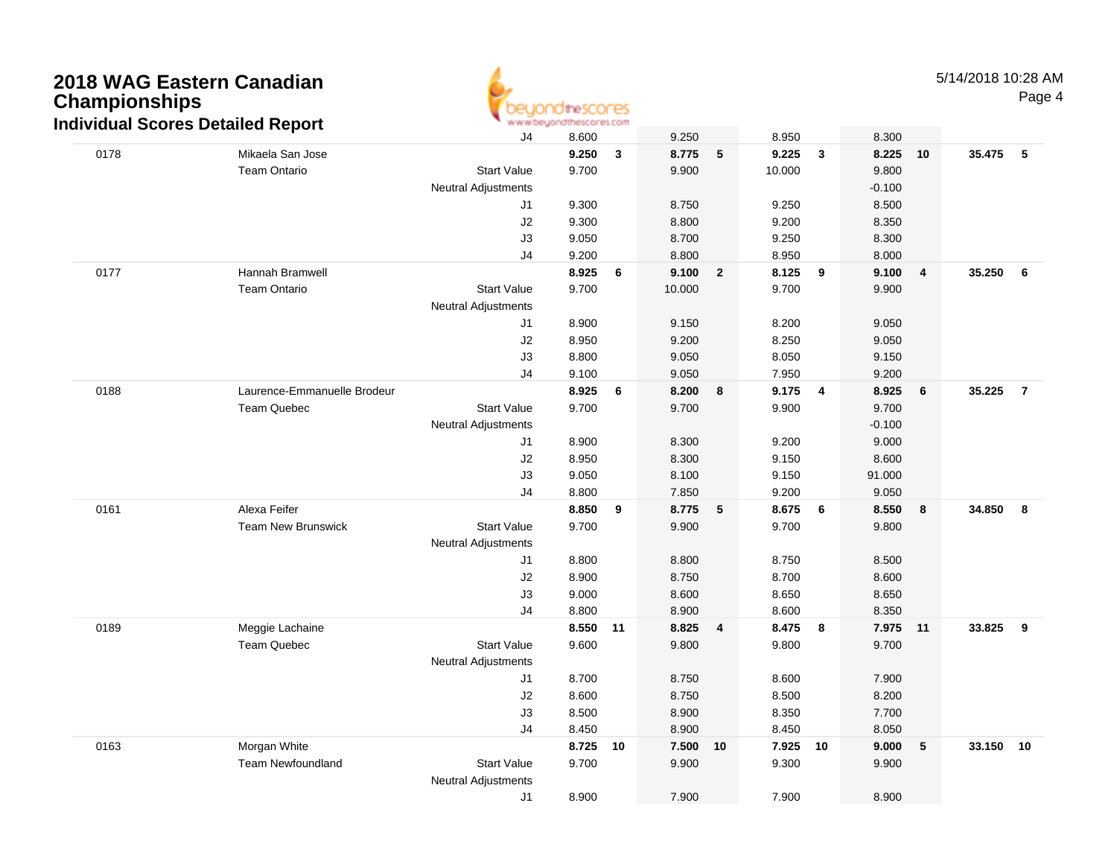## **2018 WAG Eastern CanadianChampionships Individual Scores Detailed Report**



|      | ulviuuai JUUI es Delaileu Report |                            |       |    |        |                |         |              |          |                         |                          |  |
|------|----------------------------------|----------------------------|-------|----|--------|----------------|---------|--------------|----------|-------------------------|--------------------------|--|
|      |                                  | J4                         | 8.600 |    | 9.250  |                | 8.950   |              | 8.300    |                         |                          |  |
| 0178 | Mikaela San Jose                 |                            | 9.250 | 3  | 8.775  | 5              | 9.225   | $\mathbf{3}$ | 8.225    | 10                      | 35.475 5                 |  |
|      | <b>Team Ontario</b>              | <b>Start Value</b>         | 9.700 |    | 9.900  |                | 10.000  |              | 9.800    |                         |                          |  |
|      |                                  | <b>Neutral Adjustments</b> |       |    |        |                |         |              | $-0.100$ |                         |                          |  |
|      |                                  | J1                         | 9.300 |    | 8.750  |                | 9.250   |              | 8.500    |                         |                          |  |
|      |                                  | J2                         | 9.300 |    | 8.800  |                | 9.200   |              | 8.350    |                         |                          |  |
|      |                                  | J3                         | 9.050 |    | 8.700  |                | 9.250   |              | 8.300    |                         |                          |  |
|      |                                  | J4                         | 9.200 |    | 8.800  |                | 8.950   |              | 8.000    |                         |                          |  |
| 0177 | Hannah Bramwell                  |                            | 8.925 | 6  | 9.100  | $\overline{2}$ | 8.125   | 9            | 9.100    | $\overline{\mathbf{4}}$ | 35.250<br>- 6            |  |
|      | <b>Team Ontario</b>              | <b>Start Value</b>         | 9.700 |    | 10.000 |                | 9.700   |              | 9.900    |                         |                          |  |
|      |                                  | <b>Neutral Adjustments</b> |       |    |        |                |         |              |          |                         |                          |  |
|      |                                  | J1                         | 8.900 |    | 9.150  |                | 8.200   |              | 9.050    |                         |                          |  |
|      |                                  | J2                         | 8.950 |    | 9.200  |                | 8.250   |              | 9.050    |                         |                          |  |
|      |                                  | J3                         | 8.800 |    | 9.050  |                | 8.050   |              | 9.150    |                         |                          |  |
|      |                                  | J4                         | 9.100 |    | 9.050  |                | 7.950   |              | 9.200    |                         |                          |  |
| 0188 | Laurence-Emmanuelle Brodeur      |                            | 8.925 | 6  | 8.200  | 8              | 9.175   | 4            | 8.925    | 6                       | 35.225<br>$\overline{7}$ |  |
|      | Team Quebec                      | <b>Start Value</b>         | 9.700 |    | 9.700  |                | 9.900   |              | 9.700    |                         |                          |  |
|      |                                  | <b>Neutral Adjustments</b> |       |    |        |                |         |              | $-0.100$ |                         |                          |  |
|      |                                  | J1                         | 8.900 |    | 8.300  |                | 9.200   |              | 9.000    |                         |                          |  |
|      |                                  | J2                         | 8.950 |    | 8.300  |                | 9.150   |              | 8.600    |                         |                          |  |
|      |                                  | J3                         | 9.050 |    | 8.100  |                | 9.150   |              | 91.000   |                         |                          |  |
|      |                                  | J4                         | 8.800 |    | 7.850  |                | 9.200   |              | 9.050    |                         |                          |  |
| 0161 | Alexa Feifer                     |                            | 8.850 | 9  | 8.775  | 5              | 8.675   | 6            | 8.550    | 8                       | 34.850<br>8              |  |
|      | <b>Team New Brunswick</b>        | <b>Start Value</b>         | 9.700 |    | 9.900  |                | 9.700   |              | 9.800    |                         |                          |  |
|      |                                  | <b>Neutral Adjustments</b> |       |    |        |                |         |              |          |                         |                          |  |
|      |                                  | J1                         | 8.800 |    | 8.800  |                | 8.750   |              | 8.500    |                         |                          |  |
|      |                                  | J2                         | 8.900 |    | 8.750  |                | 8.700   |              | 8.600    |                         |                          |  |
|      |                                  | J3                         | 9.000 |    | 8.600  |                | 8.650   |              | 8.650    |                         |                          |  |
|      |                                  | J4                         | 8.800 |    | 8.900  |                | 8.600   |              | 8.350    |                         |                          |  |
| 0189 | Meggie Lachaine                  |                            | 8.550 | 11 | 8.825  | 4              | 8.475 8 |              | 7.975 11 |                         | 33.825<br>9              |  |
|      | <b>Team Quebec</b>               | <b>Start Value</b>         | 9.600 |    | 9.800  |                | 9.800   |              | 9.700    |                         |                          |  |
|      |                                  | <b>Neutral Adjustments</b> |       |    |        |                |         |              |          |                         |                          |  |
|      |                                  | J1                         | 8.700 |    | 8.750  |                | 8.600   |              | 7.900    |                         |                          |  |
|      |                                  | J2                         | 8.600 |    | 8.750  |                | 8.500   |              | 8.200    |                         |                          |  |
|      |                                  | J3                         | 8.500 |    | 8.900  |                | 8.350   |              | 7.700    |                         |                          |  |
|      |                                  | J4                         | 8.450 |    | 8.900  |                | 8.450   |              | 8.050    |                         |                          |  |
| 0163 | Morgan White                     |                            | 8.725 | 10 | 7.500  | 10             | 7.925   | 10           | 9.000    | 5                       | 33.150<br>10             |  |
|      | <b>Team Newfoundland</b>         | <b>Start Value</b>         | 9.700 |    | 9.900  |                | 9.300   |              | 9.900    |                         |                          |  |
|      |                                  | <b>Neutral Adjustments</b> |       |    |        |                |         |              |          |                         |                          |  |
|      |                                  | J1                         | 8.900 |    | 7.900  |                | 7.900   |              | 8.900    |                         |                          |  |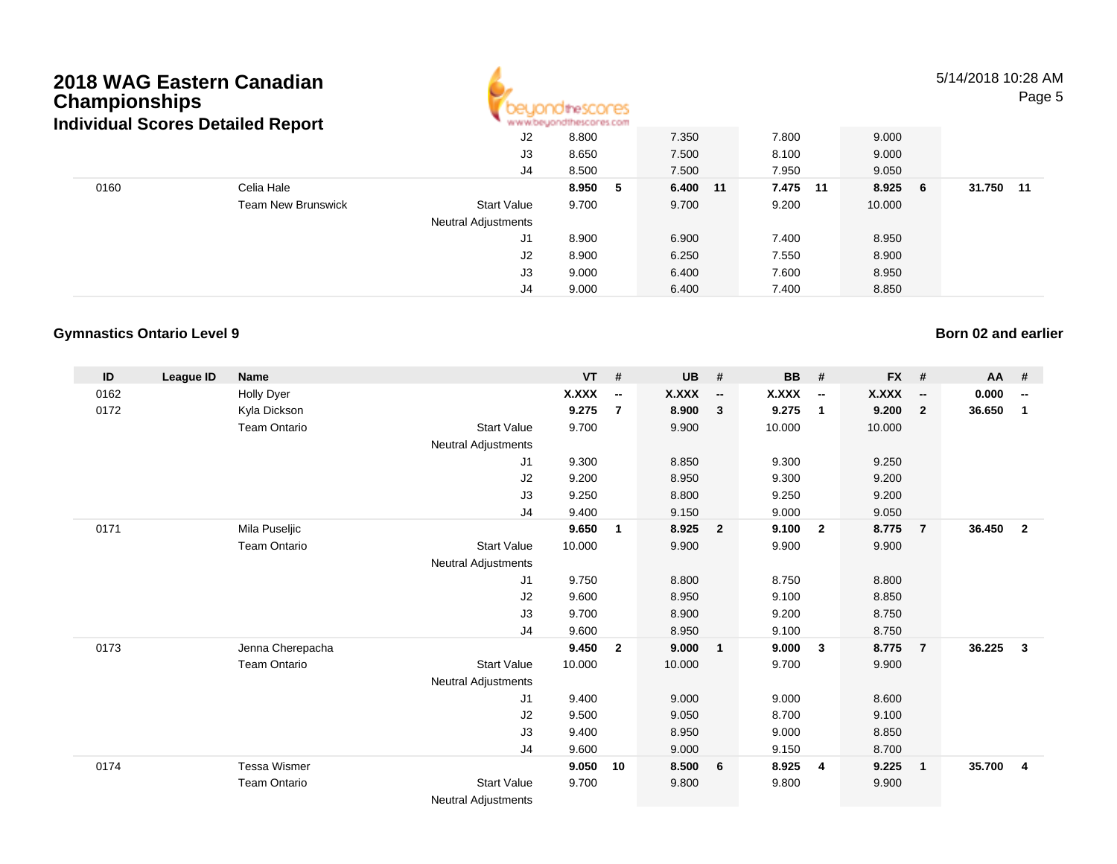### **2018 WAG Eastern CanadianChampionships**



5/14/2018 10:28 AMPage 5

| Individual Scores Detailed Report |                           | www.beyondthescores.com |         |             |          |         |                 |  |  |
|-----------------------------------|---------------------------|-------------------------|---------|-------------|----------|---------|-----------------|--|--|
|                                   |                           | J2                      | 8.800   | 7.350       | 7.800    | 9.000   |                 |  |  |
|                                   |                           | J3                      | 8.650   | 7.500       | 8.100    | 9.000   |                 |  |  |
|                                   |                           | J4                      | 8.500   | 7.500       | 7.950    | 9.050   |                 |  |  |
| 0160                              | Celia Hale                |                         | 8.950 5 | 6.400<br>11 | 7.475 11 | 8.925 6 | 31.750<br>$-11$ |  |  |
|                                   | <b>Team New Brunswick</b> | <b>Start Value</b>      | 9.700   | 9.700       | 9.200    | 10.000  |                 |  |  |
|                                   |                           | Neutral Adjustments     |         |             |          |         |                 |  |  |
|                                   |                           | J1                      | 8.900   | 6.900       | 7.400    | 8.950   |                 |  |  |
|                                   |                           | J2                      | 8.900   | 6.250       | 7.550    | 8.900   |                 |  |  |
|                                   |                           | J3                      | 9.000   | 6.400       | 7.600    | 8.950   |                 |  |  |
|                                   |                           | J4                      | 9.000   | 6.400       | 7.400    | 8.850   |                 |  |  |

#### **Gymnastics Ontario Level 9**

**ID League ID Name VT # UB # BB # FX # AA #** 0162 Holly Dyer **X.XXX -- X.XXX -- X.XXX -- X.XXX -- 0.000 --** 0172 Kyla Dickson **9.275 <sup>7</sup> 8.900 <sup>3</sup> 9.275 <sup>1</sup> 9.200 <sup>2</sup> 36.650 <sup>1</sup>** Team Ontario Start Value 9.700 9.900 10.000 10.000 Neutral Adjustments J1 9.300 8.850 9.300 9.250 J2 9.200 8.950 9.300 9.200 J3 9.250 8.800 9.250 9.200 J4 9.400 9.150 9.000 9.050 0171 Mila Puseljic **9.650 <sup>1</sup> 8.925 <sup>2</sup> 9.100 <sup>2</sup> 8.775 <sup>7</sup> 36.450 <sup>2</sup>** Team Ontario Start Value 10.000 9.900 9.900 9.900 Neutral Adjustments J1 9.750 8.800 8.750 8.800 J2 9.600 8.950 9.100 8.850 J3 9.700 8.900 9.200 8.750 J4 9.600 8.950 9.100 8.750 0173 Jenna Cherepacha **9.450 <sup>2</sup> 9.000 <sup>1</sup> 9.000 <sup>3</sup> 8.775 <sup>7</sup> 36.225 <sup>3</sup>** Team Ontario Start Value 10.000 10.000 9.700 9.900 Neutral Adjustments J1 9.400 9.000 9.000 8.600 J2 9.500 9.050 8.700 9.100 J3 9.400 8.950 9.000 8.850 J4 9.600 9.000 9.150 8.700 0174 Tessa Wismer **9.050 <sup>10</sup> 8.500 <sup>6</sup> 8.925 <sup>4</sup> 9.225 <sup>1</sup> 35.700 <sup>4</sup>** Team Ontario Start Value 9.700 9.800 9.800 9.900 Neutral Adjustments

### **Born 02 and earlier**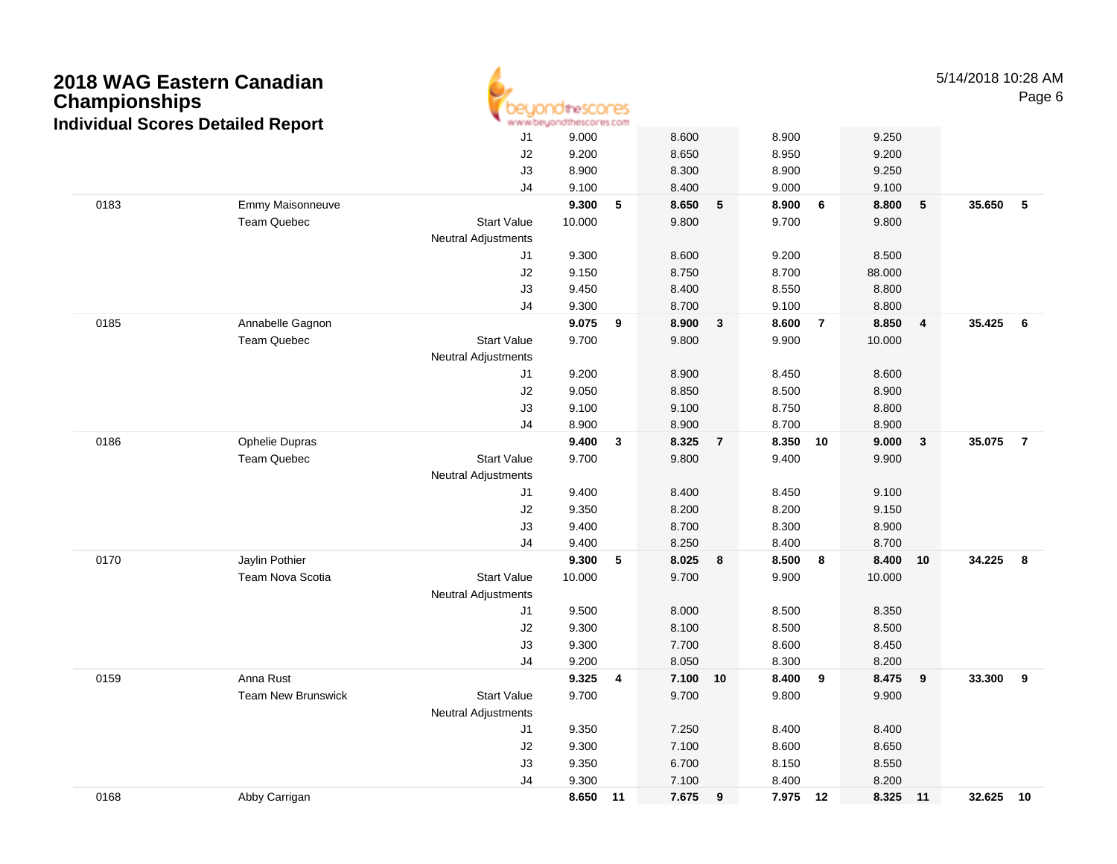| <b>Championships</b> | 2018 WAG Eastern Canadian<br><b>Individual Scores Detailed Report</b> |                            | nescores<br>www.beyondthescores.com |                         |         |                |                |                |                |              | 5/14/2018 10:28 AM<br>Page 6 |                |  |
|----------------------|-----------------------------------------------------------------------|----------------------------|-------------------------------------|-------------------------|---------|----------------|----------------|----------------|----------------|--------------|------------------------------|----------------|--|
|                      |                                                                       | J1                         | 9.000                               |                         | 8.600   |                | 8.900          |                | 9.250          |              |                              |                |  |
|                      |                                                                       | J2                         | 9.200                               |                         | 8.650   |                | 8.950          |                | 9.200          |              |                              |                |  |
|                      |                                                                       | J3                         | 8.900                               |                         | 8.300   |                | 8.900          |                | 9.250          |              |                              |                |  |
|                      |                                                                       | J <sub>4</sub>             | 9.100                               |                         | 8.400   |                | 9.000          |                | 9.100          |              |                              |                |  |
| 0183                 | Emmy Maisonneuve                                                      |                            | 9.300                               | 5                       | 8.650   | 5              | 8.900          | 6              | 8.800          | 5            | 35.650                       | 5              |  |
|                      | <b>Team Quebec</b>                                                    | <b>Start Value</b>         | 10.000                              |                         | 9.800   |                | 9.700          |                | 9.800          |              |                              |                |  |
|                      |                                                                       | <b>Neutral Adjustments</b> |                                     |                         |         |                |                |                |                |              |                              |                |  |
|                      |                                                                       | J <sub>1</sub>             | 9.300                               |                         | 8.600   |                | 9.200          |                | 8.500          |              |                              |                |  |
|                      |                                                                       | J2                         | 9.150                               |                         | 8.750   |                | 8.700          |                | 88.000         |              |                              |                |  |
|                      |                                                                       | J3                         | 9.450                               |                         | 8.400   |                | 8.550          |                | 8.800          |              |                              |                |  |
|                      |                                                                       | J <sub>4</sub>             | 9.300                               |                         | 8.700   |                | 9.100          |                | 8.800          |              |                              |                |  |
| 0185                 | Annabelle Gagnon                                                      |                            | 9.075                               | 9                       | 8.900   | $\mathbf{3}$   | 8.600          | $\overline{7}$ | 8.850          | 4            | 35.425                       | 6              |  |
|                      | <b>Team Quebec</b>                                                    | <b>Start Value</b>         | 9.700                               |                         | 9.800   |                | 9.900          |                | 10.000         |              |                              |                |  |
|                      |                                                                       | <b>Neutral Adjustments</b> |                                     |                         |         |                |                |                |                |              |                              |                |  |
|                      |                                                                       | J <sub>1</sub>             | 9.200                               |                         | 8.900   |                | 8.450          |                | 8.600          |              |                              |                |  |
|                      |                                                                       | J2                         | 9.050                               |                         | 8.850   |                | 8.500          |                | 8.900          |              |                              |                |  |
|                      |                                                                       | J3                         | 9.100                               |                         | 9.100   |                | 8.750          |                | 8.800          |              |                              |                |  |
|                      |                                                                       | J <sub>4</sub>             | 8.900                               |                         | 8.900   |                | 8.700          |                | 8.900          |              |                              |                |  |
| 0186                 | Ophelie Dupras                                                        |                            | 9.400                               | $\mathbf{3}$            | 8.325   | $\overline{7}$ | 8.350          | 10             | 9.000          | $\mathbf{3}$ | 35.075                       | $\overline{7}$ |  |
|                      | <b>Team Quebec</b>                                                    | <b>Start Value</b>         | 9.700                               |                         | 9.800   |                | 9.400          |                | 9.900          |              |                              |                |  |
|                      |                                                                       | <b>Neutral Adjustments</b> |                                     |                         |         |                |                |                |                |              |                              |                |  |
|                      |                                                                       | J <sub>1</sub>             | 9.400                               |                         | 8.400   |                | 8.450          |                | 9.100          |              |                              |                |  |
|                      |                                                                       | J2                         | 9.350                               |                         | 8.200   |                | 8.200          |                | 9.150          |              |                              |                |  |
|                      |                                                                       | J3                         | 9.400                               |                         | 8.700   |                | 8.300          |                | 8.900          |              |                              |                |  |
|                      |                                                                       | J <sub>4</sub>             | 9.400                               |                         | 8.250   |                | 8.400          |                | 8.700          |              |                              |                |  |
| 0170                 | Jaylin Pothier                                                        |                            | 9.300                               | 5                       | 8.025   | 8              | 8.500          | 8              | 8.400          | 10           | 34.225                       | 8              |  |
|                      | Team Nova Scotia                                                      | <b>Start Value</b>         | 10.000                              |                         | 9.700   |                | 9.900          |                | 10.000         |              |                              |                |  |
|                      |                                                                       | Neutral Adjustments        |                                     |                         |         |                |                |                |                |              |                              |                |  |
|                      |                                                                       | J <sub>1</sub>             | 9.500                               |                         | 8.000   |                | 8.500          |                | 8.350          |              |                              |                |  |
|                      |                                                                       | J2                         | 9.300                               |                         | 8.100   |                | 8.500          |                | 8.500          |              |                              |                |  |
|                      |                                                                       | J3                         | 9.300                               |                         | 7.700   |                | 8.600          |                | 8.450          |              |                              |                |  |
| 0159                 | Anna Rust                                                             | J <sub>4</sub>             | 9.200<br>9.325                      |                         | 8.050   |                | 8.300<br>8.400 |                | 8.200<br>8.475 |              | 33.300                       | 9              |  |
|                      | <b>Team New Brunswick</b>                                             | <b>Start Value</b>         |                                     | $\overline{\mathbf{4}}$ | 7.100   | 10             |                | 9              |                | 9            |                              |                |  |
|                      |                                                                       | <b>Neutral Adjustments</b> | 9.700                               |                         | 9.700   |                | 9.800          |                | 9.900          |              |                              |                |  |
|                      |                                                                       | J1                         | 9.350                               |                         | 7.250   |                | 8.400          |                | 8.400          |              |                              |                |  |
|                      |                                                                       | J2                         | 9.300                               |                         | 7.100   |                | 8.600          |                | 8.650          |              |                              |                |  |
|                      |                                                                       | J3                         | 9.350                               |                         | 6.700   |                | 8.150          |                | 8.550          |              |                              |                |  |
|                      |                                                                       | J4                         | 9.300                               |                         | 7.100   |                | 8.400          |                | 8.200          |              |                              |                |  |
| 0168                 | Abby Carrigan                                                         |                            | 8.650 11                            |                         | 7.675 9 |                | 7.975 12       |                | 8.325 11       |              | 32.625 10                    |                |  |